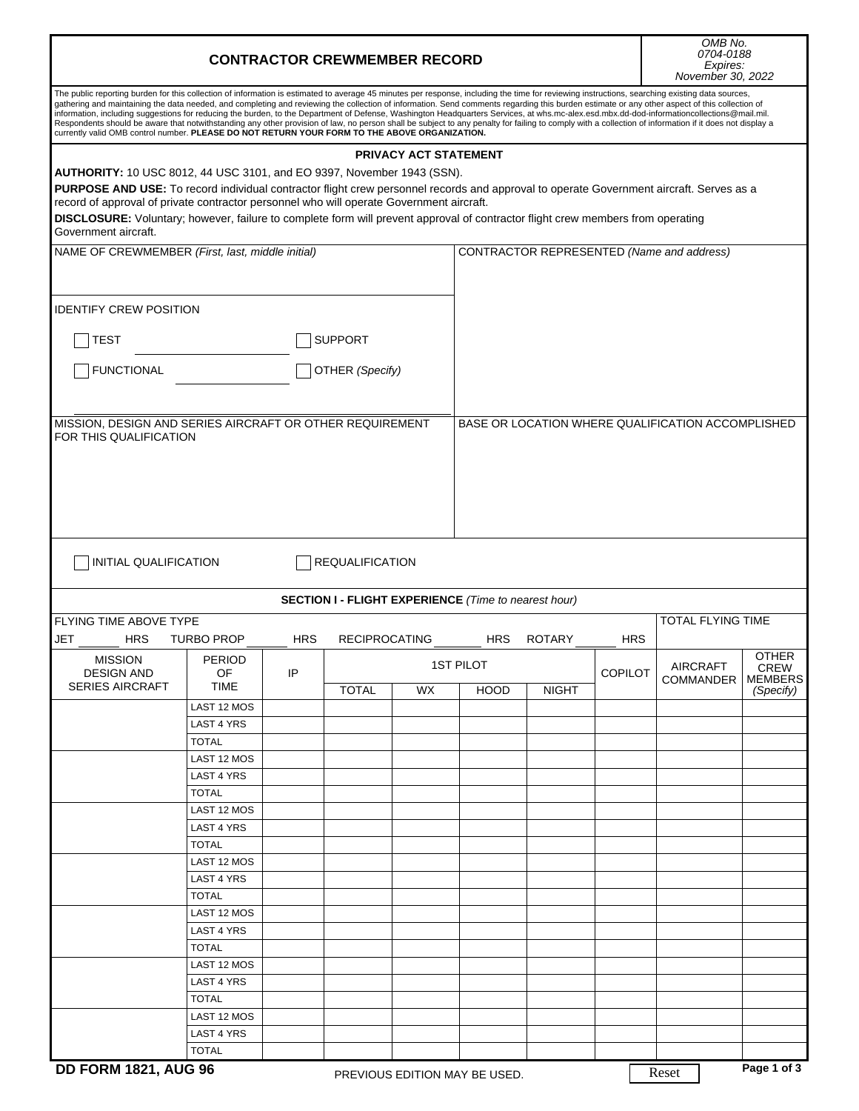| <b>CONTRACTOR CREWMEMBER RECORD</b>                                                                                                                                                                                                                                                                                                                                                                                                                                                                                                                                                                                                                                                                                                                                                                                                                                                                       |                            |            |                        |                              |                                                             |               |                | OMB No.<br>0704-0188<br>Expires:<br>November 30, 2022 |                             |  |
|-----------------------------------------------------------------------------------------------------------------------------------------------------------------------------------------------------------------------------------------------------------------------------------------------------------------------------------------------------------------------------------------------------------------------------------------------------------------------------------------------------------------------------------------------------------------------------------------------------------------------------------------------------------------------------------------------------------------------------------------------------------------------------------------------------------------------------------------------------------------------------------------------------------|----------------------------|------------|------------------------|------------------------------|-------------------------------------------------------------|---------------|----------------|-------------------------------------------------------|-----------------------------|--|
| The public reporting burden for this collection of information is estimated to average 45 minutes per response, including the time for reviewing instructions, searching existing data sources,<br>gathering and maintaining the data needed, and completing and reviewing the collection of information. Send comments regarding this burden estimate or any other aspect of this collection of<br>information, including suggestions for reducing the burden, to the Department of Defense, Washington Headquarters Services, at whs.mc-alex.esd.mbx.dd-dod-informationcollections@mail.mil.<br>Respondents should be aware that notwithstanding any other provision of law, no person shall be subject to any penalty for failing to comply with a collection of information if it does not display a<br>currently valid OMB control number. PLEASE DO NOT RETURN YOUR FORM TO THE ABOVE ORGANIZATION. |                            |            |                        |                              |                                                             |               |                |                                                       |                             |  |
|                                                                                                                                                                                                                                                                                                                                                                                                                                                                                                                                                                                                                                                                                                                                                                                                                                                                                                           |                            |            |                        | <b>PRIVACY ACT STATEMENT</b> |                                                             |               |                |                                                       |                             |  |
| AUTHORITY: 10 USC 8012, 44 USC 3101, and EO 9397, November 1943 (SSN).<br>PURPOSE AND USE: To record individual contractor flight crew personnel records and approval to operate Government aircraft. Serves as a<br>record of approval of private contractor personnel who will operate Government aircraft.                                                                                                                                                                                                                                                                                                                                                                                                                                                                                                                                                                                             |                            |            |                        |                              |                                                             |               |                |                                                       |                             |  |
| DISCLOSURE: Voluntary; however, failure to complete form will prevent approval of contractor flight crew members from operating<br>Government aircraft.                                                                                                                                                                                                                                                                                                                                                                                                                                                                                                                                                                                                                                                                                                                                                   |                            |            |                        |                              |                                                             |               |                |                                                       |                             |  |
|                                                                                                                                                                                                                                                                                                                                                                                                                                                                                                                                                                                                                                                                                                                                                                                                                                                                                                           |                            |            |                        |                              |                                                             |               |                |                                                       |                             |  |
| NAME OF CREWMEMBER (First, last, middle initial)                                                                                                                                                                                                                                                                                                                                                                                                                                                                                                                                                                                                                                                                                                                                                                                                                                                          |                            |            |                        |                              |                                                             |               |                | CONTRACTOR REPRESENTED (Name and address)             |                             |  |
| <b>IDENTIFY CREW POSITION</b>                                                                                                                                                                                                                                                                                                                                                                                                                                                                                                                                                                                                                                                                                                                                                                                                                                                                             |                            |            |                        |                              |                                                             |               |                |                                                       |                             |  |
| TEST                                                                                                                                                                                                                                                                                                                                                                                                                                                                                                                                                                                                                                                                                                                                                                                                                                                                                                      |                            |            | <b>SUPPORT</b>         |                              |                                                             |               |                |                                                       |                             |  |
| <b>FUNCTIONAL</b><br>OTHER (Specify)                                                                                                                                                                                                                                                                                                                                                                                                                                                                                                                                                                                                                                                                                                                                                                                                                                                                      |                            |            |                        |                              |                                                             |               |                |                                                       |                             |  |
| MISSION, DESIGN AND SERIES AIRCRAFT OR OTHER REQUIREMENT<br>FOR THIS QUALIFICATION                                                                                                                                                                                                                                                                                                                                                                                                                                                                                                                                                                                                                                                                                                                                                                                                                        |                            |            |                        |                              |                                                             |               |                | BASE OR LOCATION WHERE QUALIFICATION ACCOMPLISHED     |                             |  |
| INITIAL QUALIFICATION                                                                                                                                                                                                                                                                                                                                                                                                                                                                                                                                                                                                                                                                                                                                                                                                                                                                                     |                            |            | <b>REQUALIFICATION</b> |                              |                                                             |               |                |                                                       |                             |  |
|                                                                                                                                                                                                                                                                                                                                                                                                                                                                                                                                                                                                                                                                                                                                                                                                                                                                                                           |                            |            |                        |                              | <b>SECTION I - FLIGHT EXPERIENCE</b> (Time to nearest hour) |               |                |                                                       |                             |  |
| FLYING TIME ABOVE TYPE                                                                                                                                                                                                                                                                                                                                                                                                                                                                                                                                                                                                                                                                                                                                                                                                                                                                                    |                            |            |                        |                              |                                                             |               |                | <b>TOTAL FLYING TIME</b>                              |                             |  |
| JET<br>HRS                                                                                                                                                                                                                                                                                                                                                                                                                                                                                                                                                                                                                                                                                                                                                                                                                                                                                                | <b>TURBO PROP</b>          | <b>HRS</b> | <b>RECIPROCATING</b>   |                              | <b>HRS</b>                                                  | <b>ROTARY</b> | <b>HRS</b>     |                                                       |                             |  |
| <b>MISSION</b>                                                                                                                                                                                                                                                                                                                                                                                                                                                                                                                                                                                                                                                                                                                                                                                                                                                                                            | <b>PERIOD</b>              |            |                        |                              | <b>1ST PILOT</b>                                            |               |                | <b>AIRCRAFT</b>                                       | <b>OTHER</b><br><b>CREW</b> |  |
| <b>DESIGN AND</b><br><b>SERIES AIRCRAFT</b>                                                                                                                                                                                                                                                                                                                                                                                                                                                                                                                                                                                                                                                                                                                                                                                                                                                               | OF<br>TIME                 | IP         | <b>TOTAL</b>           | WX.                          | <b>HOOD</b>                                                 | <b>NIGHT</b>  | <b>COPILOT</b> | COMMANDER                                             | MEMBERS<br>(Specify)        |  |
|                                                                                                                                                                                                                                                                                                                                                                                                                                                                                                                                                                                                                                                                                                                                                                                                                                                                                                           | LAST 12 MOS                |            |                        |                              |                                                             |               |                |                                                       |                             |  |
|                                                                                                                                                                                                                                                                                                                                                                                                                                                                                                                                                                                                                                                                                                                                                                                                                                                                                                           | LAST 4 YRS                 |            |                        |                              |                                                             |               |                |                                                       |                             |  |
|                                                                                                                                                                                                                                                                                                                                                                                                                                                                                                                                                                                                                                                                                                                                                                                                                                                                                                           | <b>TOTAL</b>               |            |                        |                              |                                                             |               |                |                                                       |                             |  |
|                                                                                                                                                                                                                                                                                                                                                                                                                                                                                                                                                                                                                                                                                                                                                                                                                                                                                                           | LAST 12 MOS                |            |                        |                              |                                                             |               |                |                                                       |                             |  |
|                                                                                                                                                                                                                                                                                                                                                                                                                                                                                                                                                                                                                                                                                                                                                                                                                                                                                                           | LAST 4 YRS                 |            |                        |                              |                                                             |               |                |                                                       |                             |  |
|                                                                                                                                                                                                                                                                                                                                                                                                                                                                                                                                                                                                                                                                                                                                                                                                                                                                                                           | <b>TOTAL</b>               |            |                        |                              |                                                             |               |                |                                                       |                             |  |
|                                                                                                                                                                                                                                                                                                                                                                                                                                                                                                                                                                                                                                                                                                                                                                                                                                                                                                           | LAST 12 MOS                |            |                        |                              |                                                             |               |                |                                                       |                             |  |
|                                                                                                                                                                                                                                                                                                                                                                                                                                                                                                                                                                                                                                                                                                                                                                                                                                                                                                           | LAST 4 YRS                 |            |                        |                              |                                                             |               |                |                                                       |                             |  |
|                                                                                                                                                                                                                                                                                                                                                                                                                                                                                                                                                                                                                                                                                                                                                                                                                                                                                                           | <b>TOTAL</b>               |            |                        |                              |                                                             |               |                |                                                       |                             |  |
|                                                                                                                                                                                                                                                                                                                                                                                                                                                                                                                                                                                                                                                                                                                                                                                                                                                                                                           | LAST 12 MOS                |            |                        |                              |                                                             |               |                |                                                       |                             |  |
|                                                                                                                                                                                                                                                                                                                                                                                                                                                                                                                                                                                                                                                                                                                                                                                                                                                                                                           | LAST 4 YRS<br><b>TOTAL</b> |            |                        |                              |                                                             |               |                |                                                       |                             |  |
|                                                                                                                                                                                                                                                                                                                                                                                                                                                                                                                                                                                                                                                                                                                                                                                                                                                                                                           | LAST 12 MOS                |            |                        |                              |                                                             |               |                |                                                       |                             |  |
|                                                                                                                                                                                                                                                                                                                                                                                                                                                                                                                                                                                                                                                                                                                                                                                                                                                                                                           | LAST 4 YRS                 |            |                        |                              |                                                             |               |                |                                                       |                             |  |
|                                                                                                                                                                                                                                                                                                                                                                                                                                                                                                                                                                                                                                                                                                                                                                                                                                                                                                           | <b>TOTAL</b>               |            |                        |                              |                                                             |               |                |                                                       |                             |  |
|                                                                                                                                                                                                                                                                                                                                                                                                                                                                                                                                                                                                                                                                                                                                                                                                                                                                                                           | LAST 12 MOS                |            |                        |                              |                                                             |               |                |                                                       |                             |  |
|                                                                                                                                                                                                                                                                                                                                                                                                                                                                                                                                                                                                                                                                                                                                                                                                                                                                                                           | LAST 4 YRS                 |            |                        |                              |                                                             |               |                |                                                       |                             |  |
|                                                                                                                                                                                                                                                                                                                                                                                                                                                                                                                                                                                                                                                                                                                                                                                                                                                                                                           | <b>TOTAL</b>               |            |                        |                              |                                                             |               |                |                                                       |                             |  |
|                                                                                                                                                                                                                                                                                                                                                                                                                                                                                                                                                                                                                                                                                                                                                                                                                                                                                                           | LAST 12 MOS                |            |                        |                              |                                                             |               |                |                                                       |                             |  |
|                                                                                                                                                                                                                                                                                                                                                                                                                                                                                                                                                                                                                                                                                                                                                                                                                                                                                                           | LAST 4 YRS                 |            |                        |                              |                                                             |               |                |                                                       |                             |  |
|                                                                                                                                                                                                                                                                                                                                                                                                                                                                                                                                                                                                                                                                                                                                                                                                                                                                                                           | <b>TOTAL</b>               |            |                        |                              |                                                             |               |                |                                                       |                             |  |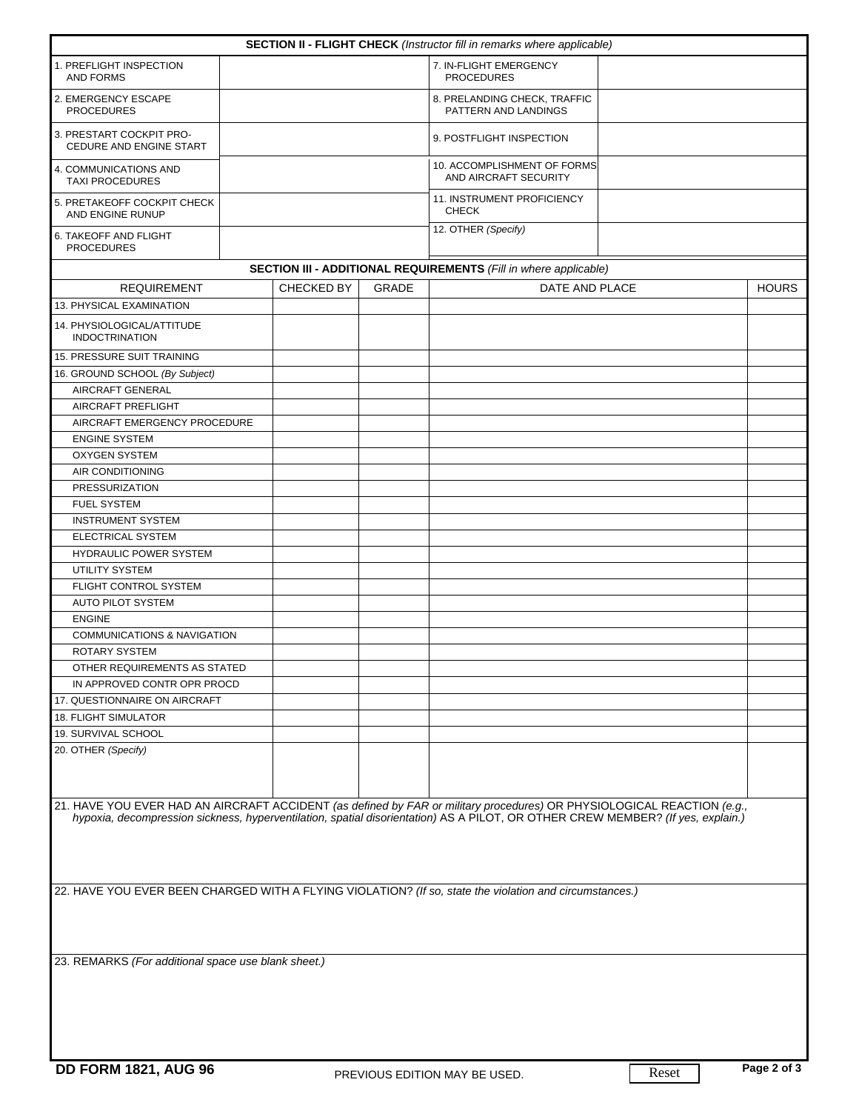| <b>SECTION II - FLIGHT CHECK</b> (Instructor fill in remarks where applicable) |  |                                             |                         |                                                                                                                                                                                                                                                           |  |              |  |
|--------------------------------------------------------------------------------|--|---------------------------------------------|-------------------------|-----------------------------------------------------------------------------------------------------------------------------------------------------------------------------------------------------------------------------------------------------------|--|--------------|--|
| 1. PREFLIGHT INSPECTION<br><b>AND FORMS</b>                                    |  | 7. IN-FLIGHT EMERGENCY<br><b>PROCEDURES</b> |                         |                                                                                                                                                                                                                                                           |  |              |  |
| 2. EMERGENCY ESCAPE<br><b>PROCEDURES</b>                                       |  |                                             |                         | 8. PRELANDING CHECK, TRAFFIC<br>PATTERN AND LANDINGS                                                                                                                                                                                                      |  |              |  |
| 3. PRESTART COCKPIT PRO-<br>CEDURE AND ENGINE START                            |  |                                             |                         | 9. POSTFLIGHT INSPECTION                                                                                                                                                                                                                                  |  |              |  |
| 4. COMMUNICATIONS AND<br><b>TAXI PROCEDURES</b>                                |  |                                             |                         | 10. ACCOMPLISHMENT OF FORMS<br>AND AIRCRAFT SECURITY                                                                                                                                                                                                      |  |              |  |
| 5. PRETAKEOFF COCKPIT CHECK<br>AND ENGINE RUNUP                                |  | 11. INSTRUMENT PROFICIENCY<br><b>CHECK</b>  |                         |                                                                                                                                                                                                                                                           |  |              |  |
| 6. TAKEOFF AND FLIGHT<br><b>PROCEDURES</b>                                     |  |                                             | 12. OTHER (Specify)     |                                                                                                                                                                                                                                                           |  |              |  |
|                                                                                |  |                                             |                         | <b>SECTION III - ADDITIONAL REQUIREMENTS (Fill in where applicable)</b>                                                                                                                                                                                   |  |              |  |
| <b>REQUIREMENT</b>                                                             |  | CHECKED BY                                  | GRADE<br>DATE AND PLACE |                                                                                                                                                                                                                                                           |  | <b>HOURS</b> |  |
| 13. PHYSICAL EXAMINATION                                                       |  |                                             |                         |                                                                                                                                                                                                                                                           |  |              |  |
| 14. PHYSIOLOGICAL/ATTITUDE<br><b>INDOCTRINATION</b>                            |  |                                             |                         |                                                                                                                                                                                                                                                           |  |              |  |
| <b>15. PRESSURE SUIT TRAINING</b>                                              |  |                                             |                         |                                                                                                                                                                                                                                                           |  |              |  |
| 16. GROUND SCHOOL (By Subject)                                                 |  |                                             |                         |                                                                                                                                                                                                                                                           |  |              |  |
| AIRCRAFT GENERAL                                                               |  |                                             |                         |                                                                                                                                                                                                                                                           |  |              |  |
| AIRCRAFT PREFLIGHT                                                             |  |                                             |                         |                                                                                                                                                                                                                                                           |  |              |  |
| AIRCRAFT EMERGENCY PROCEDURE                                                   |  |                                             |                         |                                                                                                                                                                                                                                                           |  |              |  |
| <b>ENGINE SYSTEM</b>                                                           |  |                                             |                         |                                                                                                                                                                                                                                                           |  |              |  |
| <b>OXYGEN SYSTEM</b>                                                           |  |                                             |                         |                                                                                                                                                                                                                                                           |  |              |  |
| AIR CONDITIONING                                                               |  |                                             |                         |                                                                                                                                                                                                                                                           |  |              |  |
|                                                                                |  |                                             |                         |                                                                                                                                                                                                                                                           |  |              |  |
| <b>PRESSURIZATION</b>                                                          |  |                                             |                         |                                                                                                                                                                                                                                                           |  |              |  |
|                                                                                |  |                                             |                         |                                                                                                                                                                                                                                                           |  |              |  |
| <b>FUEL SYSTEM</b><br><b>INSTRUMENT SYSTEM</b><br>ELECTRICAL SYSTEM            |  |                                             |                         |                                                                                                                                                                                                                                                           |  |              |  |
| HYDRAULIC POWER SYSTEM                                                         |  |                                             |                         |                                                                                                                                                                                                                                                           |  |              |  |
| <b>UTILITY SYSTEM</b>                                                          |  |                                             |                         |                                                                                                                                                                                                                                                           |  |              |  |
|                                                                                |  |                                             |                         |                                                                                                                                                                                                                                                           |  |              |  |
| FLIGHT CONTROL SYSTEM                                                          |  |                                             |                         |                                                                                                                                                                                                                                                           |  |              |  |
| <b>AUTO PILOT SYSTEM</b>                                                       |  |                                             |                         |                                                                                                                                                                                                                                                           |  |              |  |
| <b>ENGINE</b>                                                                  |  |                                             |                         |                                                                                                                                                                                                                                                           |  |              |  |
| <b>COMMUNICATIONS &amp; NAVIGATION</b>                                         |  |                                             |                         |                                                                                                                                                                                                                                                           |  |              |  |
| <b>ROTARY SYSTEM</b>                                                           |  |                                             |                         |                                                                                                                                                                                                                                                           |  |              |  |
| OTHER REQUIREMENTS AS STATED                                                   |  |                                             |                         |                                                                                                                                                                                                                                                           |  |              |  |
| IN APPROVED CONTR OPR PROCD                                                    |  |                                             |                         |                                                                                                                                                                                                                                                           |  |              |  |
| 17. QUESTIONNAIRE ON AIRCRAFT                                                  |  |                                             |                         |                                                                                                                                                                                                                                                           |  |              |  |
| <b>18. FLIGHT SIMULATOR</b>                                                    |  |                                             |                         |                                                                                                                                                                                                                                                           |  |              |  |
| 19. SURVIVAL SCHOOL                                                            |  |                                             |                         |                                                                                                                                                                                                                                                           |  |              |  |
| 20. OTHER (Specify)                                                            |  |                                             |                         |                                                                                                                                                                                                                                                           |  |              |  |
|                                                                                |  |                                             |                         | 21. HAVE YOU EVER HAD AN AIRCRAFT ACCIDENT (as defined by FAR or military procedures) OR PHYSIOLOGICAL REACTION (e.g.,<br>hypoxia, decompression sickness, hyperventilation, spatial disorientation) AS A PILOT, OR OTHER CREW MEMBER? (If yes, explain.) |  |              |  |
|                                                                                |  |                                             |                         | 22. HAVE YOU EVER BEEN CHARGED WITH A FLYING VIOLATION? (If so, state the violation and circumstances.)                                                                                                                                                   |  |              |  |
| 23. REMARKS (For additional space use blank sheet.)                            |  |                                             |                         |                                                                                                                                                                                                                                                           |  |              |  |